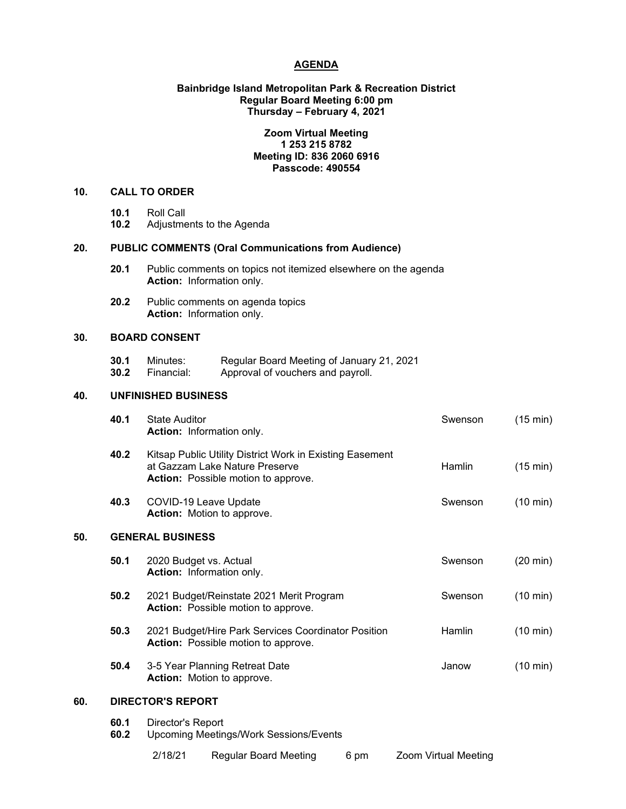# **AGENDA**

# **Bainbridge Island Metropolitan Park & Recreation District Regular Board Meeting 6:00 pm Thursday – February 4, 2021**

# **Zoom Virtual Meeting 1 253 215 8782 Meeting ID: 836 2060 6916 Passcode: 490554**

# **10. CALL TO ORDER**

- 
- **10.1** Roll Call **10.2** Adjustments to the Agenda

# **20. PUBLIC COMMENTS (Oral Communications from Audience)**

- **20.1** Public comments on topics not itemized elsewhere on the agenda **Action:** Information only.
- **20.2** Public comments on agenda topics **Action:** Information only.

# **30. BOARD CONSENT**

**30.1** Minutes: Regular Board Meeting of January 21, 2021<br>**30.2** Financial: Approval of vouchers and pavroll. Approval of vouchers and payroll.

#### **40. UNFINISHED BUSINESS**

|     | 40.1                    | <b>State Auditor</b><br><b>Action:</b> Information only.                                                                                 | Swenson | (15 min)           |  |
|-----|-------------------------|------------------------------------------------------------------------------------------------------------------------------------------|---------|--------------------|--|
|     | 40.2                    | Kitsap Public Utility District Work in Existing Easement<br>at Gazzam Lake Nature Preserve<br><b>Action:</b> Possible motion to approve. | Hamlin  | (15 min)           |  |
|     | 40.3                    | COVID-19 Leave Update<br><b>Action:</b> Motion to approve.                                                                               | Swenson | $(10 \text{ min})$ |  |
| 50. | <b>GENERAL BUSINESS</b> |                                                                                                                                          |         |                    |  |
|     | 50.1                    | 2020 Budget vs. Actual<br><b>Action:</b> Information only.                                                                               | Swenson | $(20 \text{ min})$ |  |
|     | 50.2                    | 2021 Budget/Reinstate 2021 Merit Program<br><b>Action:</b> Possible motion to approve.                                                   | Swenson | $(10 \text{ min})$ |  |
|     | 50.3                    | 2021 Budget/Hire Park Services Coordinator Position<br><b>Action:</b> Possible motion to approve.                                        | Hamlin  | $(10 \text{ min})$ |  |
|     | 50.4                    | 3-5 Year Planning Retreat Date<br><b>Action:</b> Motion to approve.                                                                      | Janow   | $(10 \text{ min})$ |  |
| 60. |                         | <b>DIRECTOR'S REPORT</b>                                                                                                                 |         |                    |  |
|     | 60.1<br>60.2            | Director's Report<br><b>Upcoming Meetings/Work Sessions/Events</b>                                                                       |         |                    |  |